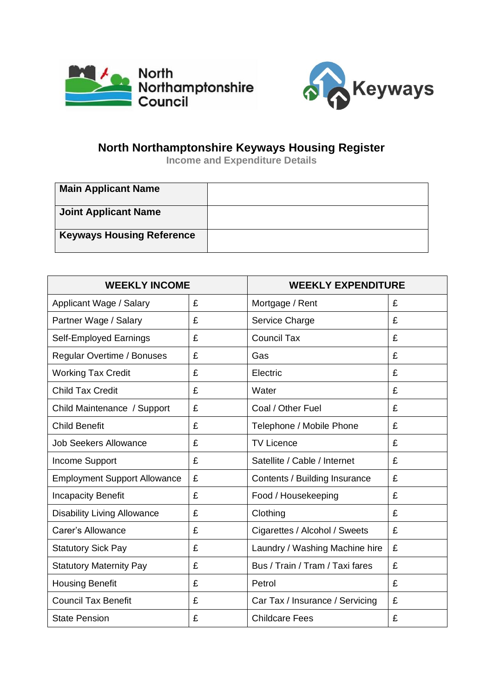



## **North Northamptonshire Keyways Housing Register**

**Income and Expenditure Details**

| <b>Main Applicant Name</b>       |  |
|----------------------------------|--|
| <b>Joint Applicant Name</b>      |  |
| <b>Keyways Housing Reference</b> |  |

| <b>WEEKLY INCOME</b>                |   | <b>WEEKLY EXPENDITURE</b>       |   |
|-------------------------------------|---|---------------------------------|---|
| Applicant Wage / Salary             | £ | Mortgage / Rent                 | £ |
| Partner Wage / Salary               | £ | Service Charge                  | £ |
| <b>Self-Employed Earnings</b>       | £ | <b>Council Tax</b>              | £ |
| Regular Overtime / Bonuses          | £ | Gas                             | £ |
| <b>Working Tax Credit</b>           | £ | Electric                        | £ |
| <b>Child Tax Credit</b>             | £ | Water                           | £ |
| Child Maintenance / Support         | £ | Coal / Other Fuel               | £ |
| <b>Child Benefit</b>                | £ | Telephone / Mobile Phone        | £ |
| <b>Job Seekers Allowance</b>        | £ | <b>TV Licence</b>               | £ |
| Income Support                      | £ | Satellite / Cable / Internet    | £ |
| <b>Employment Support Allowance</b> | £ | Contents / Building Insurance   | £ |
| <b>Incapacity Benefit</b>           | £ | Food / Housekeeping             | £ |
| <b>Disability Living Allowance</b>  | £ | Clothing                        | £ |
| Carer's Allowance                   | £ | Cigarettes / Alcohol / Sweets   | £ |
| <b>Statutory Sick Pay</b>           | £ | Laundry / Washing Machine hire  | £ |
| <b>Statutory Maternity Pay</b>      | £ | Bus / Train / Tram / Taxi fares | £ |
| <b>Housing Benefit</b>              | £ | Petrol                          | £ |
| <b>Council Tax Benefit</b>          | £ | Car Tax / Insurance / Servicing | £ |
| <b>State Pension</b>                | £ | <b>Childcare Fees</b>           | £ |